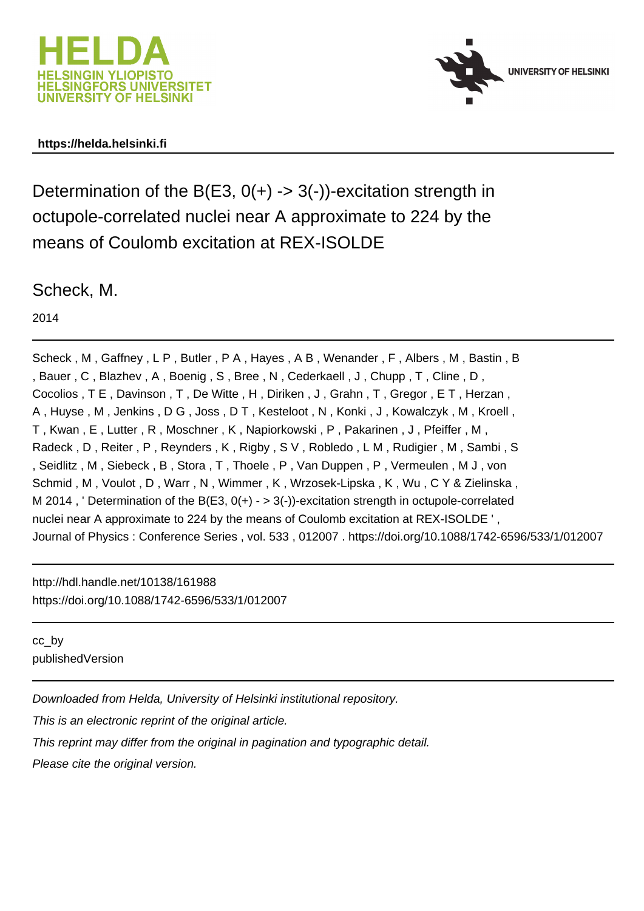





# Determination of the B(E3,  $0(+)$  -> 3(-))-excitation strength in octupole-correlated nuclei near A approximate to 224 by the means of Coulomb excitation at REX-ISOLDE

### Scheck, M.

2014

Scheck , M , Gaffney , L P , Butler , P A , Hayes , A B , Wenander , F , Albers , M , Bastin , B , Bauer , C , Blazhev , A , Boenig , S , Bree , N , Cederkaell , J , Chupp , T , Cline , D , Cocolios , T E , Davinson , T , De Witte , H , Diriken , J , Grahn , T , Gregor , E T , Herzan , A , Huyse , M , Jenkins , D G , Joss , D T , Kesteloot , N , Konki , J , Kowalczyk , M , Kroell , T , Kwan , E , Lutter , R , Moschner , K , Napiorkowski , P , Pakarinen , J , Pfeiffer , M , Radeck , D , Reiter , P , Reynders , K , Rigby , S V , Robledo , L M , Rudigier , M , Sambi , S , Seidlitz , M , Siebeck , B , Stora , T , Thoele , P , Van Duppen , P , Vermeulen , M J , von Schmid, M, Voulot, D, Warr, N, Wimmer, K, Wrzosek-Lipska, K, Wu, C Y & Zielinska, M 2014, ' Determination of the B(E3,  $0(+) - 3(-)$ )-excitation strength in octupole-correlated nuclei near A approximate to 224 by the means of Coulomb excitation at REX-ISOLDE ' , Journal of Physics : Conference Series , vol. 533 , 012007 . https://doi.org/10.1088/1742-6596/533/1/012007

http://hdl.handle.net/10138/161988 https://doi.org/10.1088/1742-6596/533/1/012007

cc\_by publishedVersion

Downloaded from Helda, University of Helsinki institutional repository.

This is an electronic reprint of the original article.

This reprint may differ from the original in pagination and typographic detail.

Please cite the original version.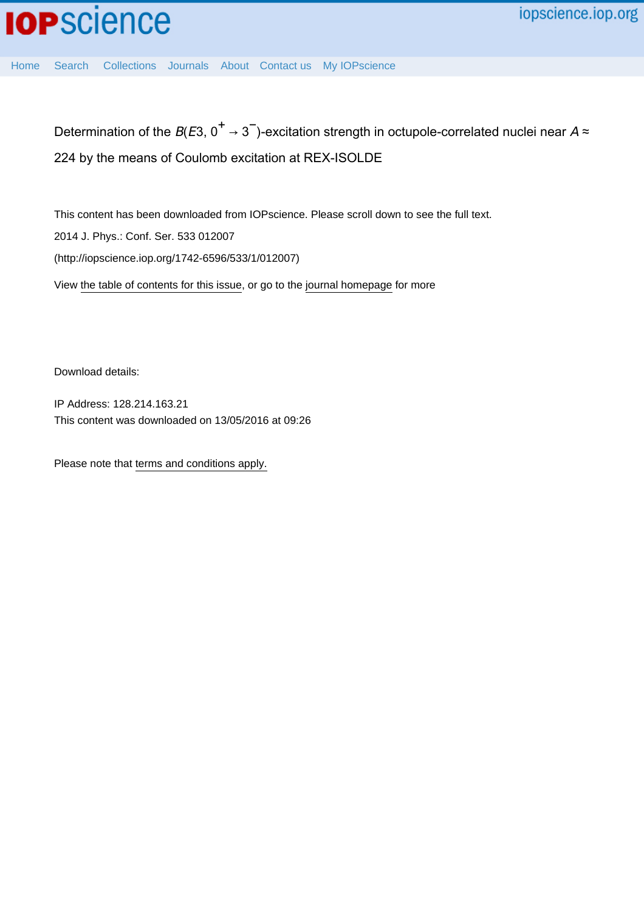

[Home](http://iopscience.iop.org/) [Search](http://iopscience.iop.org/search) [Collections](http://iopscience.iop.org/collections) [Journals](http://iopscience.iop.org/journals) [About](http://iopscience.iop.org/page/aboutioppublishing) [Contact us](http://iopscience.iop.org/contact) [My IOPscience](http://iopscience.iop.org/myiopscience)

Determination of the  $B(E3,\,0^+ \rightarrow 3^-)$ -excitation strength in octupole-correlated nuclei near A ≈ 224 by the means of Coulomb excitation at REX-ISOLDE

This content has been downloaded from IOPscience. Please scroll down to see the full text. View [the table of contents for this issue](http://iopscience.iop.org/1742-6596/533/1), or go to the [journal homepage](http://iopscience.iop.org/1742-6596) for more 2014 J. Phys.: Conf. Ser. 533 012007 (http://iopscience.iop.org/1742-6596/533/1/012007)

Download details:

IP Address: 128.214.163.21 This content was downloaded on 13/05/2016 at 09:26

Please note that [terms and conditions apply.](iopscience.iop.org/page/terms)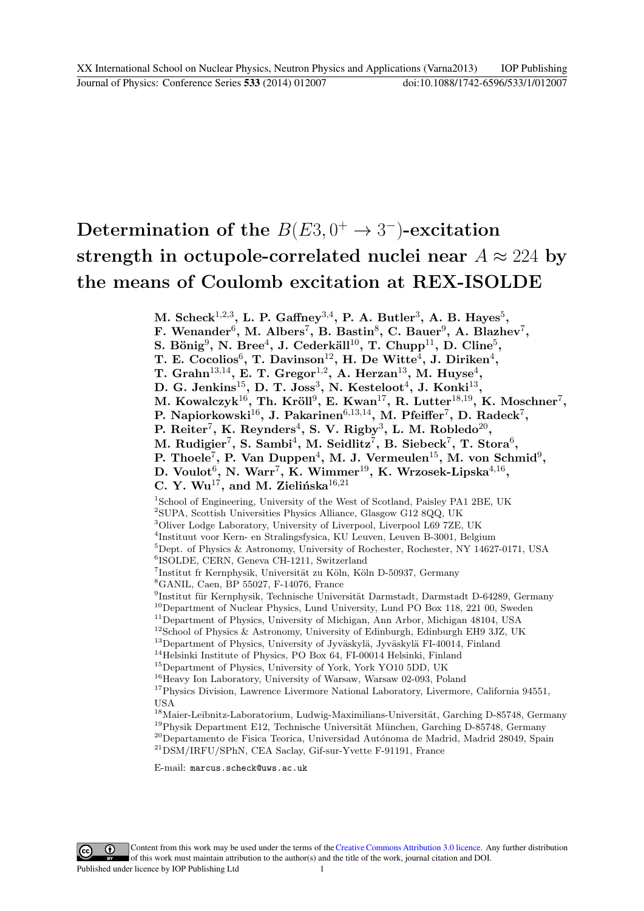## Determination of the  $B(E3, 0^+ \rightarrow 3^-)$ -excitation strength in octupole-correlated nuclei near  $A \approx 224$  by **the means of Coulomb excitation at REX-ISOLDE**

**M. Scheck**1*,*2*,*<sup>3</sup> **, L. P. Gaffney**3*,*<sup>4</sup> **, P. A. Butler**<sup>3</sup> **, A. B. Hayes**<sup>5</sup> **,**

- F. Wenander<sup>6</sup>, M. Albers<sup>7</sup>, B. Bastin<sup>8</sup>, C. Bauer<sup>9</sup>, A. Blazhev<sup>7</sup>,
- S. Bönig<sup>9</sup>, N. Bree<sup>4</sup>, J. Cederkäll<sup>10</sup>, T. Chupp<sup>11</sup>, D. Cline<sup>5</sup>,
- $T.$  E. Cocolios<sup>6</sup>, T. Davinson<sup>12</sup>, H. De Witte<sup>4</sup>, J. Diriken<sup>4</sup>,
- **T. Grahn**13*,*14**, E. T. Gregor**1*,*<sup>2</sup> **, A. Herzan**13**, M. Huyse**<sup>4</sup> **,**
- **D. G. Jenkins**15**, D. T. Joss**<sup>3</sup> **, N. Kesteloot**<sup>4</sup> **, J. Konki**<sup>13</sup> **,**
- $M$ . Kowalczyk $^{16}$ , Th. Kröll $^9$ , E. Kwan $^{17}$ , R. Lutter $^{18,19}$ , K. Moschner<sup>7</sup>,
- **P. Napiorkowski**16**, J. Pakarinen**6*,*13*,*14**, M. Pfeiffer**<sup>7</sup> **, D. Radeck**<sup>7</sup> **,**
- **P. Reiter**<sup>7</sup> **, K. Reynders**<sup>4</sup> **, S. V. Rigby**<sup>3</sup> **, L. M. Robledo**<sup>20</sup> **,**
- $M$ . Rudigier<sup>7</sup>, S. Sambi<sup>4</sup>, M. Seidlitz<sup>7</sup>, B. Siebeck<sup>7</sup>, T. Stora<sup>6</sup>,
- P. Thoele<sup>7</sup>, P. Van Duppen<sup>4</sup>, M. J. Vermeulen<sup>15</sup>, M. von Schmid<sup>9</sup>,
- $D.$  Voulot<sup>6</sup>, N. Warr<sup>7</sup>, K. Wimmer<sup>19</sup>, K. Wrzosek-Lipska<sup>4,16</sup>,

### C. Y.  $Wu^{17}$ , and M. Zielińska<sup>16,21</sup>

<sup>1</sup>School of Engineering, University of the West of Scotland, Paisley PA1 2BE, UK <sup>2</sup>SUPA, Scottish Universities Physics Alliance, Glasgow G12 8QQ, UK <sup>3</sup>Oliver Lodge Laboratory, University of Liverpool, Liverpool L69 7ZE, UK 4 Instituut voor Kern- en Stralingsfysica, KU Leuven, Leuven B-3001, Belgium  $^{5}$ Dept. of Physics & Astronomy, University of Rochester, Rochester, NY 14627-0171, USA 6 ISOLDE, CERN, Geneva CH-1211, Switzerland <sup>7</sup>Institut fr Kernphysik, Universität zu Köln, Köln D-50937, Germany <sup>8</sup>GANIL, Caen, BP 55027, F-14076, France <sup>9</sup>Institut für Kernphysik, Technische Universität Darmstadt, Darmstadt D-64289, Germany  $10$ Department of Nuclear Physics, Lund University, Lund PO Box 118, 221 00, Sweden <sup>11</sup>Department of Physics, University of Michigan, Ann Arbor, Michigan 48104, USA <sup>12</sup>School of Physics & Astronomy, University of Edinburgh, Edinburgh EH9 3JZ, UK <sup>13</sup>Department of Physics, University of Jyväskylä, Jyväskylä FI-40014, Finland  $^{14}\rm{H}$ Institute of Physics, PO Box 64, FI-00014 Helsinki, Finland <sup>15</sup>Department of Physics, University of York, York YO10 5DD, UK <sup>16</sup>Heavy Ion Laboratory, University of Warsaw, Warsaw 02-093, Poland <sup>17</sup>Physics Division, Lawrence Livermore National Laboratory, Livermore, California 94551, USA

Maier-Leibnitz-Laboratorium, Ludwig-Maximilians-Universität, Garching D-85748, Germany Physik Department E12, Technische Universität München, Garching D-85748, Germany  $^{20}\rm{Department}$  de Fisica Teorica, Universidad Autónoma de Madrid, Madrid 28049, Spain DSM/IRFU/SPhN, CEA Saclay, Gif-sur-Yvette F-91191, France

E-mail: marcus.scheck@uws.ac.uk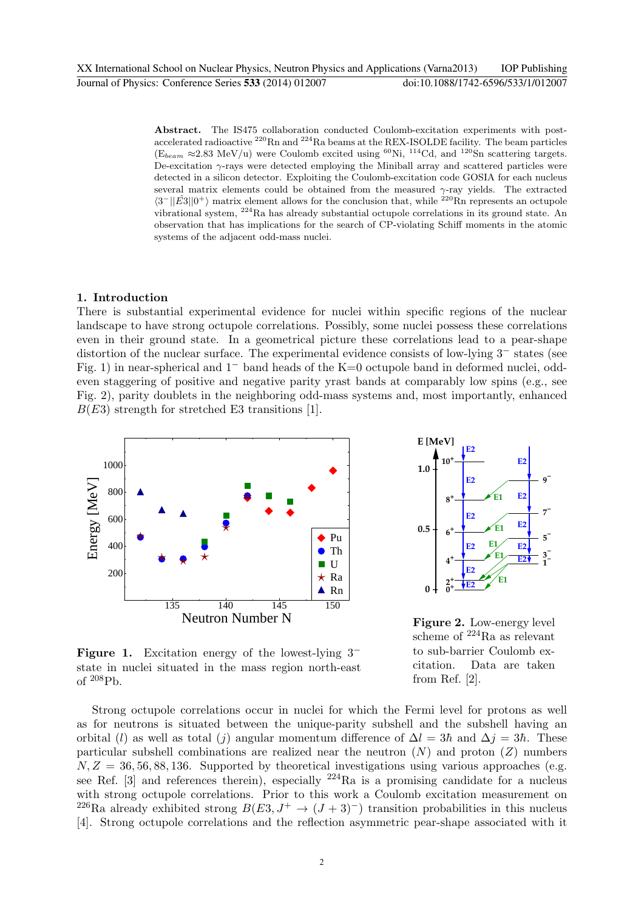**Abstract.** The IS475 collaboration conducted Coulomb-excitation experiments with postaccelerated radioactive <sup>220</sup>Rn and <sup>224</sup>Ra beams at the REX-ISOLDE facility. The beam particles  $(E_{beam} \approx 2.83 \text{ MeV/u})$  were Coulomb excited using <sup>60</sup>Ni, <sup>114</sup>Cd, and <sup>120</sup>Sn scattering targets. De-excitation *γ*-rays were detected employing the Miniball array and scattered particles were detected in a silicon detector. Exploiting the Coulomb-excitation code GOSIA for each nucleus several matrix elements could be obtained from the measured *γ*-ray yields. The extracted  $\langle 3^{-}||E_3||0^{+} \rangle$  matrix element allows for the conclusion that, while <sup>220</sup>Rn represents an octupole vibrational system,  $^{224}$ Ra has already substantial octupole correlations in its ground state. An observation that has implications for the search of CP-violating Schiff moments in the atomic systems of the adjacent odd-mass nuclei.

#### **1. Introduction**

of <sup>208</sup>Pb.

There is substantial experimental evidence for nuclei within specific regions of the nuclear landscape to have strong octupole correlations. Possibly, some nuclei possess these correlations even in their ground state. In a geometrical picture these correlations lead to a pear-shape distortion of the nuclear surface. The experimental evidence consists of low-lying 3*−* states (see Fig. 1) in near-spherical and 1*−* band heads of the K=0 octupole band in deformed nuclei, oddeven staggering of positive and negative parity yrast bands at comparably low spins (e.g., see Fig. 2), parity doublets in the neighboring odd-mass systems and, most importantly, enhanced  $B(E3)$  strength for stretched E3 transitions [1].





**Figure 1.** Excitation energy of the lowest-lying 3*−* state in nuclei situated in the mass region north-east

**Figure 2.** Low-energy level scheme of <sup>224</sup>Ra as relevant to sub-barrier Coulomb excitation. Data are taken from Ref. [2].

Strong octupole correlations occur in nuclei for which the Fermi level for protons as well as for neutrons is situated between the unique-parity subshell and the subshell having an orbital (*l*) as well as total (*j*) angular momentum difference of  $\Delta l = 3\hbar$  and  $\Delta j = 3\hbar$ . These particular subshell combinations are realized near the neutron  $(N)$  and proton  $(Z)$  numbers  $N, Z = 36, 56, 88, 136$ . Supported by theoretical investigations using various approaches (e.g. see Ref. [3] and references therein), especially  $^{224}$ Ra is a promising candidate for a nucleus with strong octupole correlations. Prior to this work a Coulomb excitation measurement on <sup>226</sup>Ra already exhibited strong  $B(E3, J^+ \rightarrow (J+3)^-)$  transition probabilities in this nucleus [4]. Strong octupole correlations and the reflection asymmetric pear-shape associated with it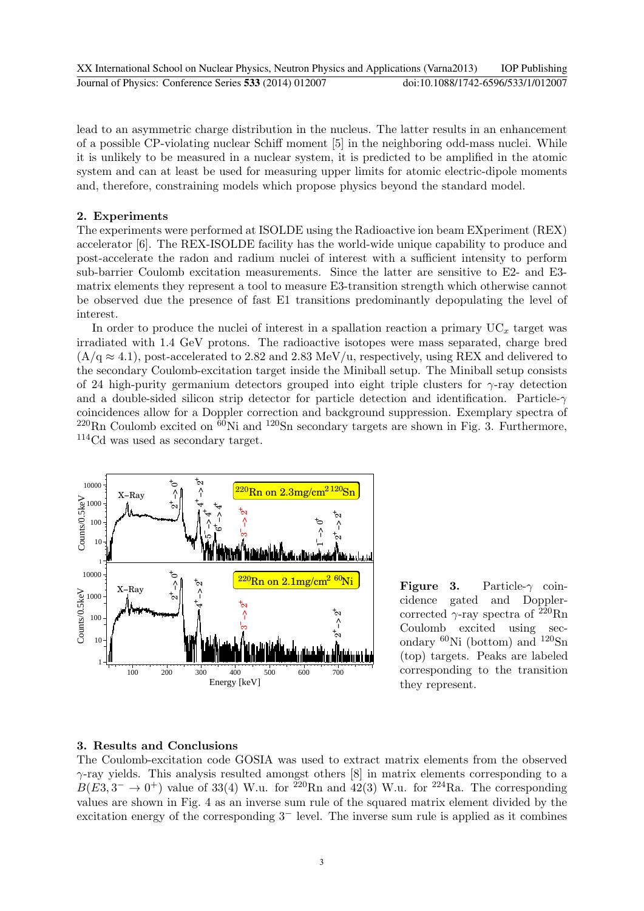XX International School on Nuclear Physics, Neutron Physics and Applications (Varna2013) IOP Publishing Journal of Physics: Conference Series **533** (2014) 012007 doi:10.1088/1742-6596/533/1/012007

lead to an asymmetric charge distribution in the nucleus. The latter results in an enhancement of a possible CP-violating nuclear Schiff moment [5] in the neighboring odd-mass nuclei. While it is unlikely to be measured in a nuclear system, it is predicted to be amplified in the atomic system and can at least be used for measuring upper limits for atomic electric-dipole moments and, therefore, constraining models which propose physics beyond the standard model.

#### **2. Experiments**

The experiments were performed at ISOLDE using the Radioactive ion beam EXperiment (REX) accelerator [6]. The REX-ISOLDE facility has the world-wide unique capability to produce and post-accelerate the radon and radium nuclei of interest with a sufficient intensity to perform sub-barrier Coulomb excitation measurements. Since the latter are sensitive to E2- and E3 matrix elements they represent a tool to measure E3-transition strength which otherwise cannot be observed due the presence of fast E1 transitions predominantly depopulating the level of interest.

In order to produce the nuclei of interest in a spallation reaction a primary  $UC_x$  target was irradiated with 1.4 GeV protons. The radioactive isotopes were mass separated, charge bred (A/q *≈* 4.1), post-accelerated to 2.82 and 2.83 MeV/u, respectively, using REX and delivered to the secondary Coulomb-excitation target inside the Miniball setup. The Miniball setup consists of 24 high-purity germanium detectors grouped into eight triple clusters for *γ*-ray detection and a double-sided silicon strip detector for particle detection and identification. Particle-*γ* coincidences allow for a Doppler correction and background suppression. Exemplary spectra of  $^{220}\text{Rn}$  Coulomb excited on  $^{60}\text{Ni}$  and  $^{120}\text{Sn}$  secondary targets are shown in Fig. 3. Furthermore, <sup>114</sup>Cd was used as secondary target.



**Figure 3.** Particle-*γ* coincidence gated and Dopplercorrected  $\gamma$ -ray spectra of <sup>220</sup>Rn Coulomb excited using secondary  ${}^{60}\text{Ni}$  (bottom) and  ${}^{120}\text{Sn}$ (top) targets. Peaks are labeled corresponding to the transition they represent.

#### **3. Results and Conclusions**

The Coulomb-excitation code GOSIA was used to extract matrix elements from the observed *γ*-ray yields. This analysis resulted amongst others [8] in matrix elements corresponding to a  $B(E3,3^{-} \rightarrow 0^{+})$  value of 33(4) W.u. for <sup>220</sup>Rn and 42(3) W.u. for <sup>224</sup>Ra. The corresponding values are shown in Fig. 4 as an inverse sum rule of the squared matrix element divided by the excitation energy of the corresponding 3*−* level. The inverse sum rule is applied as it combines